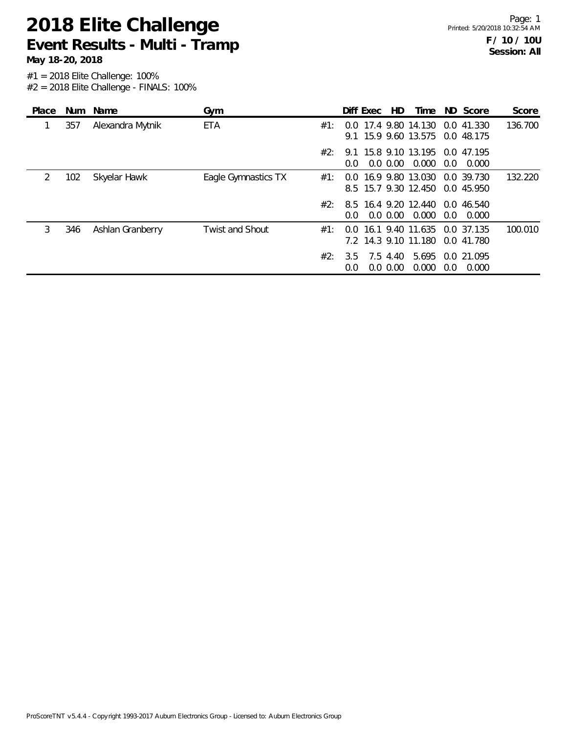**May 18-20, 2018**

| Place |     | Num Name         | Gym                    |     | Diff Exec     |                         | HD. |                                                                    |     | Time ND Score             | Score   |
|-------|-----|------------------|------------------------|-----|---------------|-------------------------|-----|--------------------------------------------------------------------|-----|---------------------------|---------|
|       | 357 | Alexandra Mytnik | ETA                    | #1: |               |                         |     | 0.0 17.4 9.80 14.130 0.0 41.330<br>9.1 15.9 9.60 13.575 0.0 48.175 |     |                           | 136.700 |
|       |     |                  |                        | #2: | $0.0^{\circ}$ | $0.0\,0.00$             |     | 9.1 15.8 9.10 13.195 0.0 47.195<br>0.000                           | 0.0 | 0.000                     |         |
| 2     | 102 | Skyelar Hawk     | Eagle Gymnastics TX    | #1: |               |                         |     | 0.0 16.9 9.80 13.030 0.0 39.730<br>8.5 15.7 9.30 12.450            |     | 0.0 45.950                | 132.220 |
|       |     |                  |                        | #2∙ | $0.0^{\circ}$ | $0.0\,0.00$             |     | 8.5 16.4 9.20 12.440 0.0 46.540<br>0.000                           | 0.0 | 0.000                     |         |
| 3     | 346 | Ashlan Granberry | <b>Twist and Shout</b> | #1: |               |                         |     | 0.0 16.1 9.40 11.635 0.0 37.135<br>7.2 14.3 9.10 11.180            |     | 0.0 41.780                | 100.010 |
|       |     |                  |                        | #2: | 3.5<br>0.0    | 7.5 4.40<br>$0.0\,0.00$ |     | 0.000                                                              | 0.0 | 5.695 0.0 21.095<br>0.000 |         |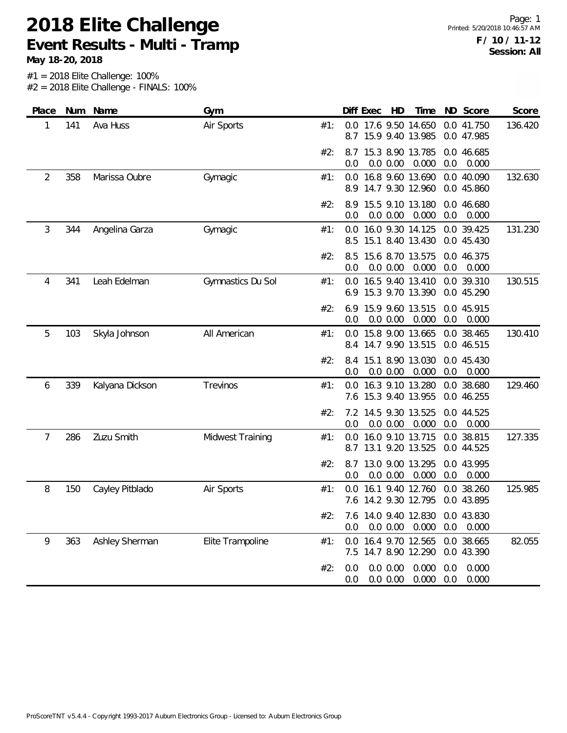**May 18-20, 2018**

| Place | Num | Name            | Gym               |     | Diff Exec                                    | HD                   | Time                                 |            | ND Score                 | Score   |
|-------|-----|-----------------|-------------------|-----|----------------------------------------------|----------------------|--------------------------------------|------------|--------------------------|---------|
| 1     | 141 | Ava Huss        | Air Sports        | #1: | 0.0 17.6 9.50 14.650<br>8.7                  |                      | 15.9 9.40 13.985                     |            | 0.0 41.750<br>0.0 47.985 | 136.420 |
|       |     |                 |                   | #2: | 8.7<br>0.0                                   | 0.0 0.00             | 15.3 8.90 13.785<br>0.000            | 0.0        | 0.0 46.685<br>0.000      |         |
| 2     | 358 | Marissa Oubre   | Gymagic           | #1: | 0.0 16.8 9.60 13.690<br>8.9                  |                      | 14.7 9.30 12.960                     |            | 0.0 40.090<br>0.0 45.860 | 132.630 |
|       |     |                 |                   | #2: | 8.9<br>0.0                                   | 0.0 0.00             | 15.5 9.10 13.180<br>0.000            | 0.0        | 0.0 46.680<br>0.000      |         |
| 3     | 344 | Angelina Garza  | Gymagic           | #1: | 0.0<br>8.5                                   |                      | 16.0 9.30 14.125<br>15.1 8.40 13.430 |            | 0.0 39.425<br>0.0 45.430 | 131.230 |
|       |     |                 |                   | #2: | 8.5<br>0.0                                   | 0.0 0.00             | 15.6 8.70 13.575<br>0.000            | 0.0        | 0.0 46.375<br>0.000      |         |
| 4     | 341 | Leah Edelman    | Gymnastics Du Sol | #1: | 0.0<br>6.9                                   |                      | 16.5 9.40 13.410<br>15.3 9.70 13.390 |            | 0.0 39.310<br>0.0 45.290 | 130.515 |
|       |     |                 |                   | #2: | 6.9<br>0.0                                   | 0.0 0.00             | 15.9 9.60 13.515<br>0.000            | 0.0        | 0.0 45.915<br>0.000      |         |
| 5     | 103 | Skyla Johnson   | All American      | #1: | 0.0 15.8 9.00 13.665<br>8.4 14.7 9.90 13.515 |                      |                                      |            | 0.0 38.465<br>0.0 46.515 | 130.410 |
|       |     |                 |                   | #2: | 8.4<br>0.0                                   | 0.0 0.00             | 15.1 8.90 13.030<br>0.000            | 0.0        | 0.0 45.430<br>0.000      |         |
| 6     | 339 | Kalyana Dickson | Trevinos          | #1: | 0.0 16.3 9.10 13.280<br>7.6 15.3 9.40 13.955 |                      |                                      |            | 0.0 38.680<br>0.0 46.255 | 129.460 |
|       |     |                 |                   | #2: | 7.2 14.5 9.30 13.525<br>0.0                  | 0.0 0.00             | 0.000                                | 0.0        | 0.0 44.525<br>0.000      |         |
| 7     | 286 | Zuzu Smith      | Midwest Training  | #1: | 0.0<br>8.7                                   |                      | 16.0 9.10 13.715<br>13.1 9.20 13.525 |            | 0.0 38.815<br>0.0 44.525 | 127.335 |
|       |     |                 |                   | #2: | 8.7<br>0.0                                   | 0.0 0.00             | 13.0 9.00 13.295<br>0.000            | 0.0        | 0.0 43.995<br>0.000      |         |
| 8     | 150 | Cayley Pitblado | Air Sports        | #1: | $0.0^{\circ}$<br>7.6 14.2 9.30 12.795        |                      | 16.1 9.40 12.760                     |            | 0.0 38.260<br>0.0 43.895 | 125.985 |
|       |     |                 |                   | #2: | 7.6 14.0 9.40 12.830 0.0 43.830<br>0.0       | 0.0 0.00             | 0.000                                | 0.0        | 0.000                    |         |
| 9     | 363 | Ashley Sherman  | Elite Trampoline  | #1: | 0.0<br>7.5                                   |                      | 16.4 9.70 12.565<br>14.7 8.90 12.290 |            | 0.0 38.665<br>0.0 43.390 | 82.055  |
|       |     |                 |                   | #2: | 0.0<br>0.0                                   | 0.0 0.00<br>0.0 0.00 | 0.000<br>0.000                       | 0.0<br>0.0 | 0.000<br>0.000           |         |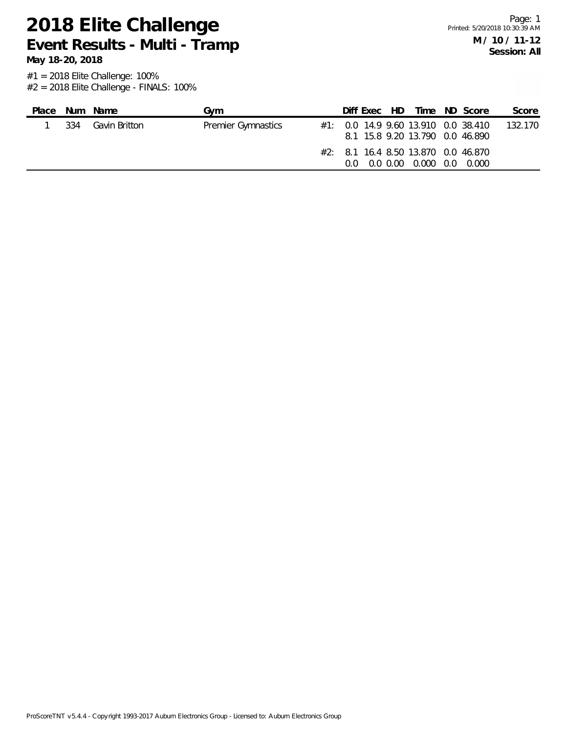**May 18-20, 2018**

| Place |     | Num Name      | Gvm                       | Diff Exec HD |  |                                                                     | Time ND Score                           | Score   |
|-------|-----|---------------|---------------------------|--------------|--|---------------------------------------------------------------------|-----------------------------------------|---------|
|       | 334 | Gavin Britton | <b>Premier Gymnastics</b> |              |  | 8.1 15.8 9.20 13.790 0.0 46.890                                     | $\#1$ : 0.0 14.9 9.60 13.910 0.0 38.410 | 132.170 |
|       |     |               |                           | O O          |  | $\#2$ : 8.1 16.4 8.50 13.870 0.0 46.870<br>0.0 0.00 0.000 0.0 0.000 |                                         |         |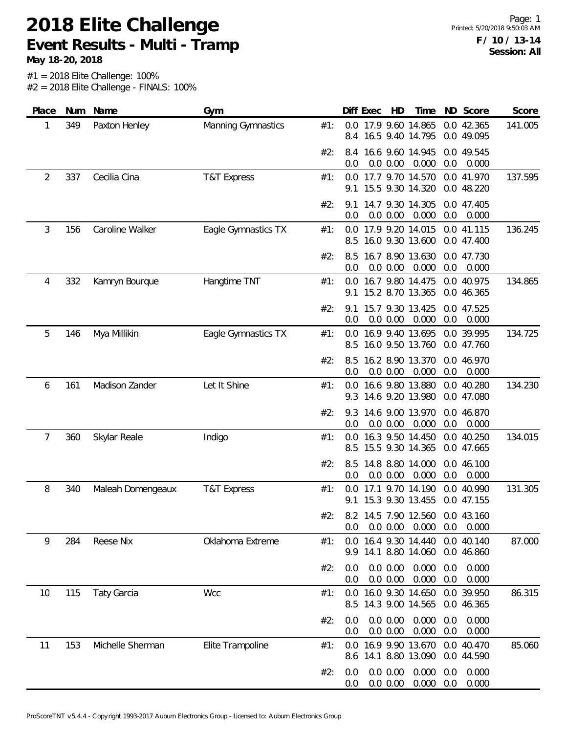**May 18-20, 2018**

| Place          | Num | Name               | Gym                    |     |            | Diff Exec | HD                   | Time                                     |            | ND Score                 | Score   |
|----------------|-----|--------------------|------------------------|-----|------------|-----------|----------------------|------------------------------------------|------------|--------------------------|---------|
| 1              | 349 | Paxton Henley      | Manning Gymnastics     | #1: | 8.4        |           |                      | 0.0 17.9 9.60 14.865<br>16.5 9.40 14.795 |            | 0.0 42.365<br>0.0 49.095 | 141.005 |
|                |     |                    |                        | #2: | 8.4<br>0.0 |           | 0.0 0.00             | 16.6 9.60 14.945<br>0.000                | 0.0        | 0.0 49.545<br>0.000      |         |
| $\overline{2}$ | 337 | Cecilia Cina       | <b>T&amp;T Express</b> | #1: | 9.1        |           |                      | 0.0 17.7 9.70 14.570<br>15.5 9.30 14.320 |            | 0.0 41.970<br>0.0 48.220 | 137.595 |
|                |     |                    |                        | #2: | 9.1<br>0.0 |           | 0.0 0.00             | 14.7 9.30 14.305<br>0.000                | 0.0        | 0.0 47.405<br>0.000      |         |
| 3              | 156 | Caroline Walker    | Eagle Gymnastics TX    | #1: | 0.0<br>8.5 |           |                      | 17.9 9.20 14.015<br>16.0 9.30 13.600     |            | 0.0 41.115<br>0.0 47.400 | 136.245 |
|                |     |                    |                        | #2: | 8.5<br>0.0 |           | 0.0 0.00             | 16.7 8.90 13.630<br>0.000                | 0.0        | 0.0 47.730<br>0.000      |         |
| 4              | 332 | Kamryn Bourque     | Hangtime TNT           | #1: | 0.0<br>9.1 |           |                      | 16.7 9.80 14.475<br>15.2 8.70 13.365     |            | 0.0 40.975<br>0.0 46.365 | 134.865 |
|                |     |                    |                        | #2: | 9.1<br>0.0 |           | 0.0 0.00             | 15.7 9.30 13.425<br>0.000                | 0.0        | 0.0 47.525<br>0.000      |         |
| 5              | 146 | Mya Millikin       | Eagle Gymnastics TX    | #1: | 0.0<br>8.5 |           |                      | 16.9 9.40 13.695<br>16.0 9.50 13.760     |            | 0.0 39.995<br>0.0 47.760 | 134.725 |
|                |     |                    |                        | #2: | 8.5<br>0.0 |           | 0.0 0.00             | 16.2 8.90 13.370<br>0.000                | 0.0        | 0.0 46.970<br>0.000      |         |
| 6              | 161 | Madison Zander     | Let It Shine           | #1: | 0.0<br>9.3 |           |                      | 16.6 9.80 13.880<br>14.6 9.20 13.980     |            | 0.0 40.280<br>0.0 47.080 | 134.230 |
|                |     |                    |                        | #2: | 9.3<br>0.0 |           | 0.0 0.00             | 14.6 9.00 13.970<br>0.000                | 0.0        | 0.0 46.870<br>0.000      |         |
| 7              | 360 | Skylar Reale       | Indigo                 | #1: | 0.0<br>8.5 |           |                      | 16.3 9.50 14.450<br>15.5 9.30 14.365     |            | 0.0 40.250<br>0.0 47.665 | 134.015 |
|                |     |                    |                        | #2: | 8.5<br>0.0 |           | 0.0 0.00             | 14.8 8.80 14.000<br>0.000                | 0.0        | 0.0 46.100<br>0.000      |         |
| 8              | 340 | Maleah Domengeaux  | <b>T&amp;T Express</b> | #1: | 0.0<br>9.1 |           |                      | 17.1 9.70 14.190<br>15.3 9.30 13.455     |            | 0.0 40.990<br>0.0 47.155 | 131.305 |
|                |     |                    |                        | #2: | 0.0        |           | 0.0 0.00             | 8.2 14.5 7.90 12.560<br>0.000            | 0.0        | 0.0 43.160<br>0.000      |         |
| 9              | 284 | <b>Reese Nix</b>   | Oklahoma Extreme       | #1: | 0.0<br>9.9 |           |                      | 16.4 9.30 14.440<br>14.1 8.80 14.060     |            | 0.0 40.140<br>0.0 46.860 | 87.000  |
|                |     |                    |                        | #2: | 0.0<br>0.0 |           | 0.0 0.00<br>0.0 0.00 | 0.000<br>0.000                           | 0.0<br>0.0 | 0.000<br>0.000           |         |
| 10             | 115 | <b>Taty Garcia</b> | Wcc                    | #1: | 0.0<br>8.5 |           |                      | 16.0 9.30 14.650<br>14.3 9.00 14.565     |            | 0.0 39.950<br>0.0 46.365 | 86.315  |
|                |     |                    |                        | #2: | 0.0<br>0.0 |           | 0.0 0.00<br>0.0 0.00 | 0.000<br>0.000                           | 0.0<br>0.0 | 0.000<br>0.000           |         |
| 11             | 153 | Michelle Sherman   | Elite Trampoline       | #1: | 0.0<br>8.6 |           |                      | 16.9 9.90 13.670<br>14.1 8.80 13.090     |            | 0.0 40.470<br>0.0 44.590 | 85.060  |
|                |     |                    |                        | #2: | 0.0<br>0.0 |           | 0.0 0.00<br>0.0 0.00 | 0.000<br>0.000                           | 0.0<br>0.0 | 0.000<br>0.000           |         |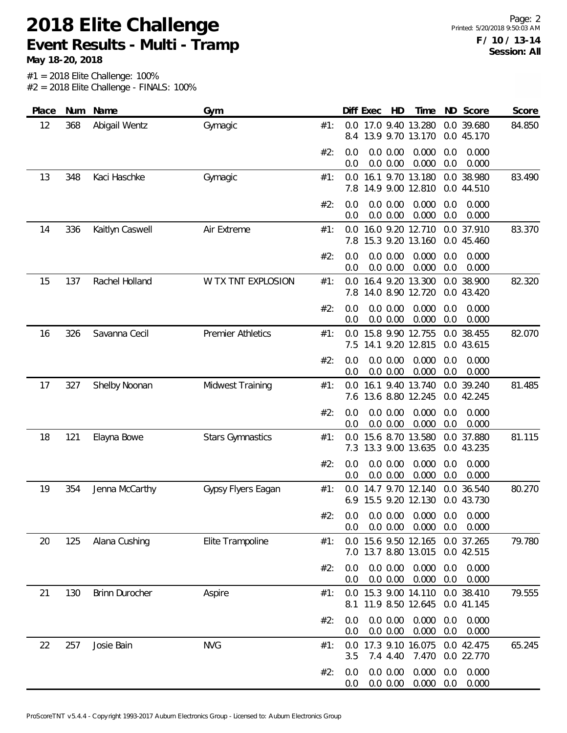**May 18-20, 2018**

| Place | Num | Name                  | Gym                      |     | Diff Exec<br>HD<br>ND Score<br>Time<br>Score                                                |
|-------|-----|-----------------------|--------------------------|-----|---------------------------------------------------------------------------------------------|
| 12    | 368 | Abigail Wentz         | Gymagic                  | #1: | 0.0 17.0 9.40 13.280<br>0.0 39.680<br>84.850<br>13.9 9.70 13.170<br>0.0 45.170<br>8.4       |
|       |     |                       |                          | #2: | 0.0 0.00<br>0.0<br>0.000<br>0.0<br>0.000<br>0.0 0.00<br>0.000<br>0.0<br>0.000<br>0.0        |
| 13    | 348 | Kaci Haschke          | Gymagic                  | #1: | 16.1 9.70 13.180<br>0.0 38.980<br>0.0<br>83.490<br>14.9 9.00 12.810<br>0.0 44.510<br>7.8    |
|       |     |                       |                          | #2: | 0.0 0.00<br>0.000<br>0.0<br>0.000<br>0.0<br>0.0<br>0.000<br>0.000<br>0.0 0.00<br>0.0        |
| 14    | 336 | Kaitlyn Caswell       | Air Extreme              | #1: | 16.0 9.20 12.710<br>0.0 37.910<br>0.0<br>83.370<br>15.3 9.20 13.160<br>0.0 45.460<br>7.8    |
|       |     |                       |                          | #2: | 0.0 0.00<br>0.000<br>0.0<br>0.0<br>0.000<br>0.0 0.00<br>0.000<br>0.0<br>0.0<br>0.000        |
| 15    | 137 | Rachel Holland        | W TX TNT EXPLOSION       | #1: | 16.4 9.20 13.300<br>38.900<br>0.0<br>0.0<br>82.320<br>14.0 8.90 12.720<br>0.0 43.420<br>7.8 |
|       |     |                       |                          | #2: | 0.0 0.00<br>0.000<br>0.000<br>0.0<br>0.0<br>0.0 0.00<br>0.000<br>0.0<br>0.000<br>0.0        |
| 16    | 326 | Savanna Cecil         | <b>Premier Athletics</b> | #1: | 15.8 9.90 12.755<br>82.070<br>0.0 38.455<br>0.0<br>14.1 9.20 12.815<br>7.5<br>0.0 43.615    |
|       |     |                       |                          | #2: | 0.000<br>0.0<br>0.0 0.00<br>0.0<br>0.000<br>0.000<br>0.0<br>0.0 0.00<br>0.000<br>0.0        |
| 17    | 327 | Shelby Noonan         | <b>Midwest Training</b>  | #1: | 16.1 9.40 13.740<br>0.0 39.240<br>0.0<br>81.485<br>7.6 13.6 8.80 12.245<br>0.0 42.245       |
|       |     |                       |                          | #2: | 0.000<br>0.0<br>0.0 0.00<br>0.0<br>0.000<br>0.0<br>0.0 0.00<br>0.000<br>0.0<br>0.000        |
| 18    | 121 | Elayna Bowe           | <b>Stars Gymnastics</b>  | #1: | 15.6 8.70 13.580<br>0.0<br>37.880<br>0.0<br>81.115<br>13.3 9.00 13.635<br>7.3<br>0.0 43.235 |
|       |     |                       |                          | #2: | 0.000<br>0.0<br>0.0 0.00<br>0.000<br>0.0<br>0.0<br>0.0 0.00<br>0.000<br>0.0<br>0.000        |
| 19    | 354 | Jenna McCarthy        | Gypsy Flyers Eagan       | #1: | 14.7 9.70 12.140<br>0.0 36.540<br>80.270<br>0.0<br>15.5 9.20 12.130<br>0.0 43.730<br>6.9    |
|       |     |                       |                          | #2: | 0.0 0.00<br>0.000<br>0.000<br>0.0<br>0.0<br>0.0 0.00<br>0.000<br>0.0<br>0.000<br>0.0        |
| 20    | 125 | Alana Cushing         | Elite Trampoline         | #1: | 0.0 15.6 9.50 12.165<br>0.0 37.265<br>79.780<br>7.0 13.7 8.80 13.015<br>0.0 42.515          |
|       |     |                       |                          | #2: | 0.0 0.00<br>0.000<br>0.0<br>0.000<br>0.0<br>0.0 0.00<br>0.000<br>0.0<br>0.000<br>0.0        |
| 21    | 130 | <b>Brinn Durocher</b> | Aspire                   | #1: | 0.0 15.3 9.00 14.110<br>0.0 38.410<br>79.555<br>11.9 8.50 12.645<br>0.0 41.145<br>8.1       |
|       |     |                       |                          | #2: | 0.0 0.00<br>0.000<br>0.0<br>0.000<br>0.0<br>0.0 0.00<br>0.000<br>0.0<br>0.000<br>0.0        |
| 22    | 257 | Josie Bain            | <b>NVG</b>               | #1: | 17.3 9.10 16.075<br>0.0 42.475<br>65.245<br>0.0<br>7.470<br>0.0 22.770<br>3.5<br>7.4 4.40   |
|       |     |                       |                          | #2: | 0.000<br>0.0 0.00<br>0.000<br>0.0<br>0.0<br>0.000<br>0.000<br>0.0 0.00<br>0.0<br>0.0        |
|       |     |                       |                          |     |                                                                                             |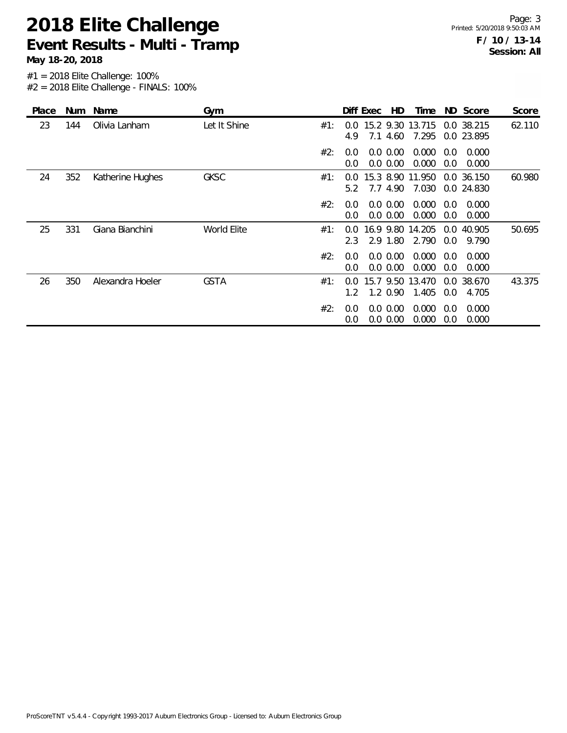**May 18-20, 2018**

| Place | <b>Num</b> | Name             | Gym          |     |                                | Diff Exec | HD.                     | Time                      |            | ND Score                 | Score  |
|-------|------------|------------------|--------------|-----|--------------------------------|-----------|-------------------------|---------------------------|------------|--------------------------|--------|
| 23    | 144        | Olivia Lanham    | Let It Shine | #1: | 0.0<br>4.9                     | 7.1       | 4.60                    | 15.2 9.30 13.715<br>7.295 |            | 0.0 38.215<br>0.0 23.895 | 62.110 |
|       |            |                  |              | #2: | 0.0<br>0.0                     |           | 0.0 0.00<br>0.0 0.00    | 0.000<br>0.000            | 0.0<br>0.0 | 0.000<br>0.000           |        |
| 24    | 352        | Katherine Hughes | <b>GKSC</b>  | #1: | $0.0^{\circ}$<br>5.2           |           | 7.7 4.90                | 15.3 8.90 11.950<br>7.030 |            | 0.0 36.150<br>0.0 24.830 | 60.980 |
|       |            |                  |              | #2: | $0.0^{\circ}$<br>0.0           |           | 0.0 0.00<br>0.0 0.00    | 0.000<br>0.000            | 0.0<br>0.0 | 0.000<br>0.000           |        |
| 25    | 331        | Giana Bianchini  | World Elite  | #1: | 0.0<br>2.3                     |           | 16.9 9.80<br>2.9 1.80   | 14.205<br>2.790           | 0.0<br>0.0 | 40.905<br>9.790          | 50.695 |
|       |            |                  |              | #2: | 0.0<br>0.0                     |           | 0.0 0.00<br>$0.0\ 0.00$ | 0.000<br>0.000            | 0.0<br>0.0 | 0.000<br>0.000           |        |
| 26    | 350        | Alexandra Hoeler | <b>GSTA</b>  | #1: | $0.0^{\circ}$<br>$1.2^{\circ}$ |           | $1.2 \, 0.90$           | 15.7 9.50 13.470<br>1.405 | 0.0        | 0.0 38.670<br>4.705      | 43.375 |
|       |            |                  |              | #2: | 0.0<br>0.0                     |           | 0.0 0.00<br>$0.0\ 0.00$ | 0.000<br>0.000            | 0.0<br>0.0 | 0.000<br>0.000           |        |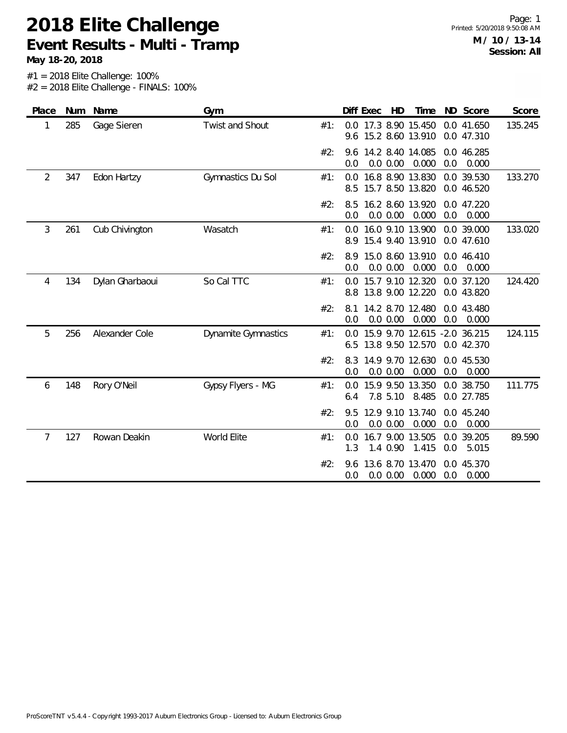**May 18-20, 2018**

| Place | Num | Name            | Gym                        |     | HD<br>ND Score<br>Diff Exec<br>Time<br>Score                                                |
|-------|-----|-----------------|----------------------------|-----|---------------------------------------------------------------------------------------------|
| 1     | 285 | Gage Sieren     | Twist and Shout            | #1: | 17.3 8.90 15.450<br>0.0<br>0.0 41.650<br>135.245<br>9.6 15.2 8.60 13.910<br>0.0 47.310      |
|       |     |                 |                            | #2: | 14.2 8.40 14.085<br>0.0 46.285<br>9.6<br>0.0 0.00<br>0.000<br>0.0<br>0.0<br>0.000           |
| 2     | 347 | Edon Hartzy     | Gymnastics Du Sol          | #1: | 16.8 8.90 13.830<br>0.0 39.530<br>133.270<br>0.0<br>15.7 8.50 13.820<br>0.0 46.520<br>8.5   |
|       |     |                 |                            | #2: | 16.2 8.60 13.920<br>0.0 47.220<br>8.5<br>0.0 0.00<br>0.0<br>0.000<br>0.0<br>0.000           |
| 3     | 261 | Cub Chivington  | Wasatch                    | #1: | 16.0 9.10 13.900<br>0.0 39.000<br>133.020<br>0.0<br>15.4 9.40 13.910<br>0.0 47.610<br>8.9   |
|       |     |                 |                            | #2: | 15.0 8.60 13.910<br>0.0 46.410<br>8.9<br>0.0 0.00<br>0.000<br>0.0<br>0.000<br>0.0           |
| 4     | 134 | Dylan Gharbaoui | So Cal TTC                 | #1: | 0.0 15.7 9.10 12.320<br>124.420<br>0.0 37.120<br>13.8 9.00 12.220<br>0.0 43.820<br>8.8      |
|       |     |                 |                            | #2: | 14.2 8.70 12.480<br>0.0 43.480<br>8.1<br>0.0 0.00<br>0.000<br>0.0<br>0.000<br>0.0           |
| 5     | 256 | Alexander Cole  | <b>Dynamite Gymnastics</b> | #1: | 0.0 15.9 9.70 12.615 -2.0 36.215<br>124.115<br>13.8 9.50 12.570<br>0.0 42.370<br>6.5        |
|       |     |                 |                            | #2: | 14.9 9.70 12.630<br>8.3<br>0.0 45.530<br>0.0 0.00<br>0.000<br>0.0<br>0.000<br>0.0           |
| 6     | 148 | Rory O'Neil     | Gypsy Flyers - MG          | #1: | 15.9 9.50 13.350<br>111.775<br>0.0 38.750<br>0.0<br>7.8 5.10<br>8.485<br>0.0 27.785<br>6.4  |
|       |     |                 |                            | #2: | 12.9 9.10 13.740<br>0.0 45.240<br>9.5<br>0.0 0.00<br>0.000<br>0.0<br>0.0<br>0.000           |
| 7     | 127 | Rowan Deakin    | World Elite                | #1: | 16.7 9.00 13.505<br>0.0 39.205<br>89.590<br>0.0<br>1.4 0.90<br>1.415<br>0.0<br>5.015<br>1.3 |
|       |     |                 |                            | #2: | 13.6 8.70 13.470<br>0.0 45.370<br>9.6<br>0.0<br>0.0 0.00<br>0.000<br>0.000<br>0.0           |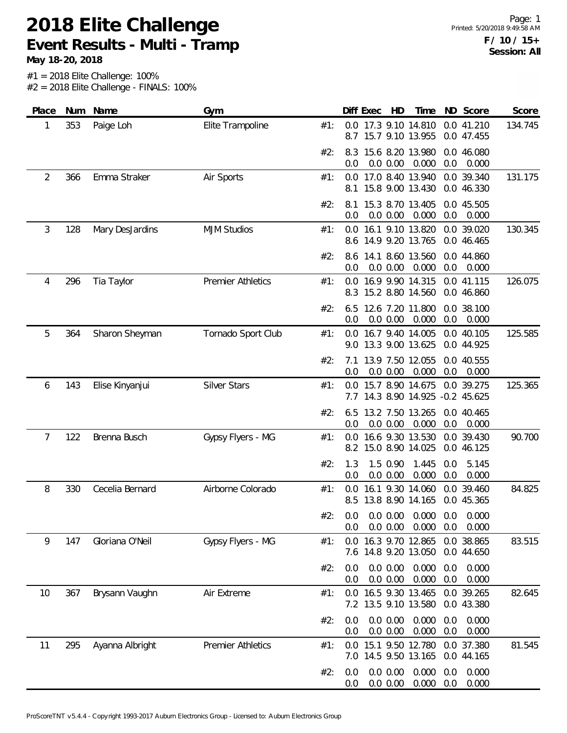**May 18-20, 2018**

| Place          |     | Num Name        | Gym                      |     | Diff Exec                                    | HD                       | Time                                 |            | ND Score                    | Score   |
|----------------|-----|-----------------|--------------------------|-----|----------------------------------------------|--------------------------|--------------------------------------|------------|-----------------------------|---------|
| 1              | 353 | Paige Loh       | Elite Trampoline         | #1: | 0.0 17.3 9.10 14.810<br>8.7                  |                          | 15.7 9.10 13.955                     |            | 0.0 41.210<br>0.0 47.455    | 134.745 |
|                |     |                 |                          | #2: | 8.3<br>0.0                                   | 0.0 0.00                 | 15.6 8.20 13.980<br>0.000            | 0.0        | 0.0 46.080<br>0.000         |         |
| $\overline{2}$ | 366 | Emma Straker    | Air Sports               | #1: | 0.0 17.0 8.40 13.940<br>8.1                  |                          | 15.8 9.00 13.430                     |            | 0.0 39.340<br>0.0 46.330    | 131.175 |
|                |     |                 |                          | #2: | 8.1<br>0.0                                   | 0.0 0.00                 | 15.3 8.70 13.405<br>0.000            | 0.0        | 0.0 45.505<br>0.000         |         |
| 3              | 128 | Mary DesJardins | <b>MJM Studios</b>       | #1: | 0.0<br>8.6 14.9 9.20 13.765                  |                          | 16.1 9.10 13.820                     |            | 0.0 39.020<br>0.0 46.465    | 130.345 |
|                |     |                 |                          | #2: | 8.6 14.1 8.60 13.560<br>0.0                  | 0.0 0.00                 | 0.000                                | 0.0        | 0.0 44.860<br>0.000         |         |
| 4              | 296 | Tia Taylor      | <b>Premier Athletics</b> | #1: | $0.0^{\circ}$<br>8.3                         |                          | 16.9 9.90 14.315<br>15.2 8.80 14.560 |            | 0.0 41.115<br>0.0 46.860    | 126.075 |
|                |     |                 |                          | #2: | 6.5<br>0.0                                   | 0.0 0.00                 | 12.6 7.20 11.800<br>0.000            | 0.0        | 0.0 38.100<br>0.000         |         |
| 5              | 364 | Sharon Sheyman  | Tornado Sport Club       | #1: | 0.0 16.7 9.40 14.005<br>9.0 13.3 9.00 13.625 |                          |                                      |            | 0.0 40.105<br>0.0 44.925    | 125.585 |
|                |     |                 |                          | #2: | 7.1<br>0.0                                   | 0.0 0.00                 | 13.9 7.50 12.055<br>0.000            | 0.0        | 0.0 40.555<br>0.000         |         |
| 6              | 143 | Elise Kinyanjui | <b>Silver Stars</b>      | #1: | 0.0<br>7.7 14.3 8.90 14.925                  |                          | 15.7 8.90 14.675                     |            | 0.0 39.275<br>$-0.2$ 45.625 | 125.365 |
|                |     |                 |                          | #2: | 6.5<br>0.0                                   | 0.0 0.00                 | 13.2 7.50 13.265<br>0.000            | 0.0        | 0.0 40.465<br>0.000         |         |
| 7              | 122 | Brenna Busch    | Gypsy Flyers - MG        | #1: | 0.0<br>8.2                                   |                          | 16.6 9.30 13.530<br>15.0 8.90 14.025 |            | 0.0 39.430<br>0.0 46.125    | 90.700  |
|                |     |                 |                          | #2: | 1.3<br>0.0                                   | 1.5 0.90<br>0.0 0.00     | 1.445<br>0.000                       | 0.0<br>0.0 | 5.145<br>0.000              |         |
| 8              | 330 | Cecelia Bernard | Airborne Colorado        | #1: | 0.0<br>8.5                                   |                          | 16.1 9.30 14.060<br>13.8 8.90 14.165 | 0.0        | 39.460<br>0.0 45.365        | 84.825  |
|                |     |                 |                          | #2: | 0.0<br>0.0                                   | $0.0\, 0.00$<br>0.0 0.00 | 0.000<br>0.000                       | 0.0<br>0.0 | 0.000<br>0.000              |         |
| 9              | 147 | Gloriana O'Neil | Gypsy Flyers - MG        | #1: | 0.0<br>7.6 14.8 9.20 13.050                  |                          | 16.3 9.70 12.865                     |            | 0.0 38.865<br>0.0 44.650    | 83.515  |
|                |     |                 |                          | #2: | 0.0<br>0.0                                   | 0.0 0.00<br>0.0 0.00     | 0.000<br>0.000                       | 0.0<br>0.0 | 0.000<br>0.000              |         |
| 10             | 367 | Brysann Vaughn  | Air Extreme              | #1: | 0.0<br>7.2                                   |                          | 16.5 9.30 13.465<br>13.5 9.10 13.580 |            | 0.0 39.265<br>0.0 43.380    | 82.645  |
|                |     |                 |                          | #2: | 0.0<br>0.0                                   | 0.0 0.00<br>0.0 0.00     | 0.000<br>0.000                       | 0.0<br>0.0 | 0.000<br>0.000              |         |
| 11             | 295 | Ayanna Albright | <b>Premier Athletics</b> | #1: | 0.0<br>7.0 14.5 9.50 13.165                  |                          | 15.1 9.50 12.780                     |            | 0.0 37.380<br>0.0 44.165    | 81.545  |
|                |     |                 |                          | #2: | 0.0<br>0.0                                   | 0.0 0.00<br>0.0 0.00     | 0.000<br>0.000                       | 0.0<br>0.0 | 0.000<br>0.000              |         |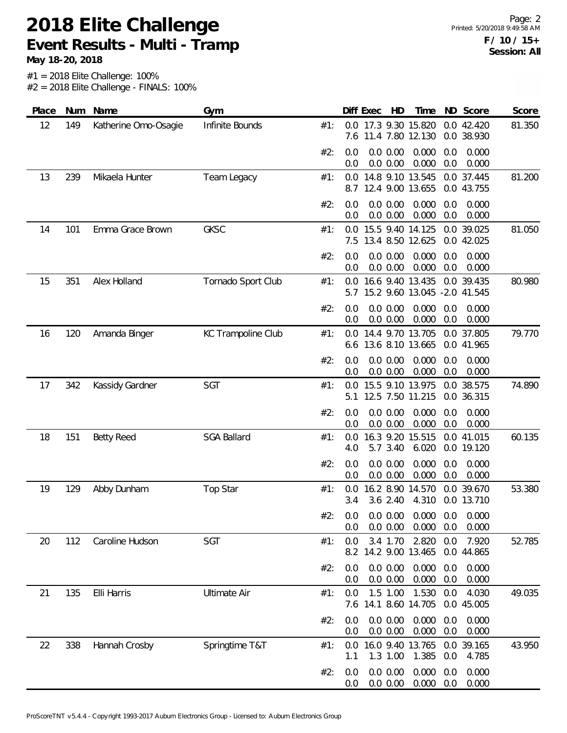**May 18-20, 2018**

Page: 2 Printed: 5/20/2018 9:49:58 AM **F / 10 / 15+ Session: All**

| Place | Num | Name                 | Gym                 |     | Diff Exec  | HD                                               | Time           |            | ND Score                 | Score  |
|-------|-----|----------------------|---------------------|-----|------------|--------------------------------------------------|----------------|------------|--------------------------|--------|
| 12    | 149 | Katherine Omo-Osagie | Infinite Bounds     | #1: |            | 0.0 17.3 9.30 15.820<br>7.6 11.4 7.80 12.130     |                |            | 0.0 42.420<br>0.0 38.930 | 81.350 |
|       |     |                      |                     | #2: | 0.0<br>0.0 | 0.0 0.00<br>0.0 0.00                             | 0.000<br>0.000 | 0.0<br>0.0 | 0.000<br>0.000           |        |
| 13    | 239 | Mikaela Hunter       | Team Legacy         | #1: | 8.7        | 0.0 14.8 9.10 13.545<br>12.4 9.00 13.655         |                |            | 0.0 37.445<br>0.0 43.755 | 81.200 |
|       |     |                      |                     | #2: | 0.0<br>0.0 | 0.0 0.00<br>0.0 0.00                             | 0.000<br>0.000 | 0.0<br>0.0 | 0.000<br>0.000           |        |
| 14    | 101 | Emma Grace Brown     | <b>GKSC</b>         | #1: | 0.0        | 15.5 9.40 14.125<br>7.5 13.4 8.50 12.625         |                |            | 0.0 39.025<br>0.0 42.025 | 81.050 |
|       |     |                      |                     | #2: | 0.0<br>0.0 | 0.0 0.00<br>0.0 0.00                             | 0.000<br>0.000 | 0.0<br>0.0 | 0.000<br>0.000           |        |
| 15    | 351 | Alex Holland         | Tornado Sport Club  | #1: | 0.0<br>5.7 | 16.6 9.40 13.435<br>15.2 9.60 13.045 -2.0 41.545 |                | 0.0        | 39.435                   | 80.980 |
|       |     |                      |                     | #2: | 0.0<br>0.0 | 0.0 0.00<br>0.0 0.00                             | 0.000<br>0.000 | 0.0<br>0.0 | 0.000<br>0.000           |        |
| 16    | 120 | Amanda Binger        | KC Trampoline Club  | #1: |            | 0.0 14.4 9.70 13.705<br>6.6 13.6 8.10 13.665     |                |            | 0.0 37.805<br>0.0 41.965 | 79.770 |
|       |     |                      |                     | #2: | 0.0<br>0.0 | 0.0 0.00<br>0.0 0.00                             | 0.000<br>0.000 | 0.0<br>0.0 | 0.000<br>0.000           |        |
| 17    | 342 | Kassidy Gardner      | SGT                 | #1: | 0.0<br>5.1 | 15.5 9.10 13.975<br>12.5 7.50 11.215             |                |            | 0.0 38.575<br>0.0 36.315 | 74.890 |
|       |     |                      |                     | #2: | 0.0<br>0.0 | 0.0 0.00<br>0.0 0.00                             | 0.000<br>0.000 | 0.0<br>0.0 | 0.000<br>0.000           |        |
| 18    | 151 | <b>Betty Reed</b>    | <b>SGA Ballard</b>  | #1: | 0.0<br>4.0 | 16.3 9.20 15.515<br>5.7 3.40                     | 6.020          |            | 0.0 41.015<br>0.0 19.120 | 60.135 |
|       |     |                      |                     | #2: | 0.0<br>0.0 | 0.0 0.00<br>0.0 0.00                             | 0.000<br>0.000 | 0.0<br>0.0 | 0.000<br>0.000           |        |
| 19    | 129 | Abby Dunham          | Top Star            | #1: | 0.0<br>3.4 | 16.2 8.90 14.570<br>3.6 2.40                     | 4.310          |            | 0.0 39.670<br>0.0 13.710 | 53.380 |
|       |     |                      |                     | #2: | 0.0<br>0.0 | 0.0 0.00<br>0.0 0.00                             | 0.000<br>0.000 | 0.0<br>0.0 | 0.000<br>0.000           |        |
| 20    | 112 | Caroline Hudson      | SGT                 | #1: | 0.0<br>8.2 | 3.4 1.70<br>14.2 9.00 13.465                     | 2.820          | 0.0        | 7.920<br>0.0 44.865      | 52.785 |
|       |     |                      |                     | #2: | 0.0<br>0.0 | 0.0 0.00<br>0.0 0.00                             | 0.000<br>0.000 | 0.0<br>0.0 | 0.000<br>0.000           |        |
| 21    | 135 | Elli Harris          | <b>Ultimate Air</b> | #1: | 0.0<br>7.6 | 1.5 1.00<br>14.1 8.60 14.705                     | 1.530          | 0.0        | 4.030<br>0.0 45.005      | 49.035 |
|       |     |                      |                     | #2: | 0.0<br>0.0 | 0.0 0.00<br>0.0 0.00                             | 0.000<br>0.000 | 0.0<br>0.0 | 0.000<br>0.000           |        |
| 22    | 338 | Hannah Crosby        | Springtime T&T      | #1: | 0.0<br>1.1 | 16.0 9.40 13.765<br>1.3 1.00                     | 1.385          | 0.0        | 0.0 39.165<br>4.785      | 43.950 |
|       |     |                      |                     | #2: | 0.0<br>0.0 | 0.0 0.00<br>0.0 0.00                             | 0.000<br>0.000 | 0.0<br>0.0 | 0.000<br>0.000           |        |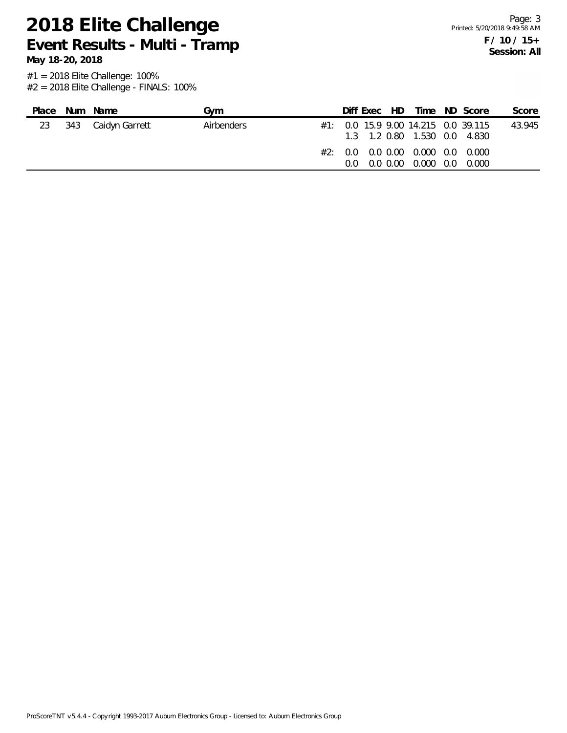**May 18-20, 2018**

| Place | Num Name           | Gvm        |               | Diff Exec HD |               |                                                | Time ND Score                           | Score  |
|-------|--------------------|------------|---------------|--------------|---------------|------------------------------------------------|-----------------------------------------|--------|
| 23    | 343 Caidyn Garrett | Airbenders |               |              |               | 1.3 1.2 0.80 1.530 0.0 4.830                   | $\#1$ : 0.0 15.9 9.00 14.215 0.0 39.115 | 43.945 |
|       |                    |            | $0.0^{\circ}$ |              | $0.0 \, 0.00$ | #2: 0.0 0.0 0.00 0.000 0.00 0.000<br>0.000 0.0 | 0.000                                   |        |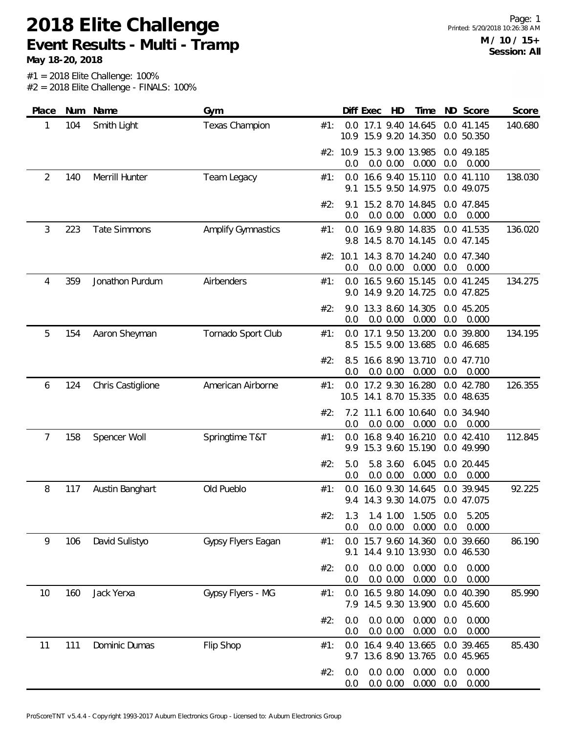**May 18-20, 2018**

| Place          |     | Num Name            | Gym                       |     |                   | Diff Exec | HD                   | Time                                      |            | ND Score                 | Score   |
|----------------|-----|---------------------|---------------------------|-----|-------------------|-----------|----------------------|-------------------------------------------|------------|--------------------------|---------|
| 1              | 104 | Smith Light         | <b>Texas Champion</b>     | #1: | 10.9 <sup>°</sup> |           |                      | 0.0 17.1 9.40 14.645<br>15.9 9.20 14.350  |            | 0.0 41.145<br>0.0 50.350 | 140.680 |
|                |     |                     |                           |     | 0.0               |           | 0.0 0.00             | #2: 10.9 15.3 9.00 13.985<br>0.000        | 0.0        | 0.0 49.185<br>0.000      |         |
| $\overline{2}$ | 140 | Merrill Hunter      | Team Legacy               | #1: | 9.1               |           |                      | 0.0 16.6 9.40 15.110<br>15.5 9.50 14.975  |            | 0.0 41.110<br>0.0 49.075 | 138.030 |
|                |     |                     |                           | #2: | 9.1<br>0.0        |           | 0.0 0.00             | 15.2 8.70 14.845<br>0.000                 | 0.0        | 0.0 47.845<br>0.000      |         |
| 3              | 223 | <b>Tate Simmons</b> | <b>Amplify Gymnastics</b> | #1: | 0.0               |           |                      | 16.9 9.80 14.835<br>9.8 14.5 8.70 14.145  |            | 0.0 41.535<br>0.0 47.145 | 136.020 |
|                |     |                     |                           |     | #2: 10.1<br>0.0   |           | 0.0 0.00             | 14.3 8.70 14.240<br>0.000                 | 0.0        | 0.0 47.340<br>0.000      |         |
| 4              | 359 | Jonathon Purdum     | Airbenders                | #1: | 0.0<br>9.0        |           |                      | 16.5 9.60 15.145<br>14.9 9.20 14.725      |            | 0.0 41.245<br>0.0 47.825 | 134.275 |
|                |     |                     |                           | #2: | 9.0<br>0.0        |           | 0.0 0.00             | 13.3 8.60 14.305<br>0.000                 | 0.0        | 0.0 45.205<br>0.000      |         |
| 5              | 154 | Aaron Sheyman       | Tornado Sport Club        | #1: | 8.5               |           |                      | 0.0 17.1 9.50 13.200<br>15.5 9.00 13.685  |            | 0.0 39.800<br>0.0 46.685 | 134.195 |
|                |     |                     |                           | #2: | 8.5<br>0.0        |           | 0.0 0.00             | 16.6 8.90 13.710<br>0.000                 | 0.0        | 0.0 47.710<br>0.000      |         |
| 6              | 124 | Chris Castiglione   | American Airborne         | #1: | 0.0               |           |                      | 17.2 9.30 16.280<br>10.5 14.1 8.70 15.335 |            | 0.0 42.780<br>0.0 48.635 | 126.355 |
|                |     |                     |                           | #2: | 0.0               |           | 0.0 0.00             | 7.2 11.1 6.00 10.640<br>0.000             | 0.0        | 0.0 34.940<br>0.000      |         |
| 7              | 158 | Spencer Woll        | Springtime T&T            | #1: | 0.0<br>9.9        |           |                      | 16.8 9.40 16.210<br>15.3 9.60 15.190      |            | 0.0 42.410<br>0.0 49.990 | 112.845 |
|                |     |                     |                           | #2: | 5.0<br>0.0        |           | 5.8 3.60<br>0.0 0.00 | 6.045<br>0.000                            | 0.0        | 0.0 20.445<br>0.000      |         |
| 8              | 117 | Austin Banghart     | Old Pueblo                | #1: | 0.0               |           |                      | 16.0 9.30 14.645<br>9.4 14.3 9.30 14.075  |            | 0.0 39.945<br>0.0 47.075 | 92.225  |
|                |     |                     |                           | #2: | 0.0               |           | 0.0 0.00             | 1.3 1.4 1.00 1.505 0.0<br>0.000           | 0.0        | 5.205<br>0.000           |         |
| 9              | 106 | David Sulistyo      | Gypsy Flyers Eagan        | #1: | 0.0<br>9.1        |           |                      | 15.7 9.60 14.360<br>14.4 9.10 13.930      |            | 0.0 39.660<br>0.0 46.530 | 86.190  |
|                |     |                     |                           | #2: | 0.0<br>0.0        |           | 0.0 0.00<br>0.0 0.00 | 0.000<br>0.000                            | 0.0<br>0.0 | 0.000<br>0.000           |         |
| 10             | 160 | Jack Yerxa          | Gypsy Flyers - MG         | #1: | 0.0               |           |                      | 16.5 9.80 14.090<br>7.9 14.5 9.30 13.900  |            | 0.0 40.390<br>0.0 45.600 | 85.990  |
|                |     |                     |                           | #2: | 0.0<br>0.0        |           | 0.0 0.00<br>0.0 0.00 | 0.000<br>0.000                            | 0.0<br>0.0 | 0.000<br>0.000           |         |
| 11             | 111 | Dominic Dumas       | Flip Shop                 | #1: | 0.0               |           |                      | 16.4 9.40 13.665<br>9.7 13.6 8.90 13.765  |            | 0.0 39.465<br>0.0 45.965 | 85.430  |
|                |     |                     |                           | #2: | 0.0<br>0.0        |           | 0.0 0.00<br>0.0 0.00 | 0.000<br>0.000                            | 0.0<br>0.0 | 0.000<br>0.000           |         |